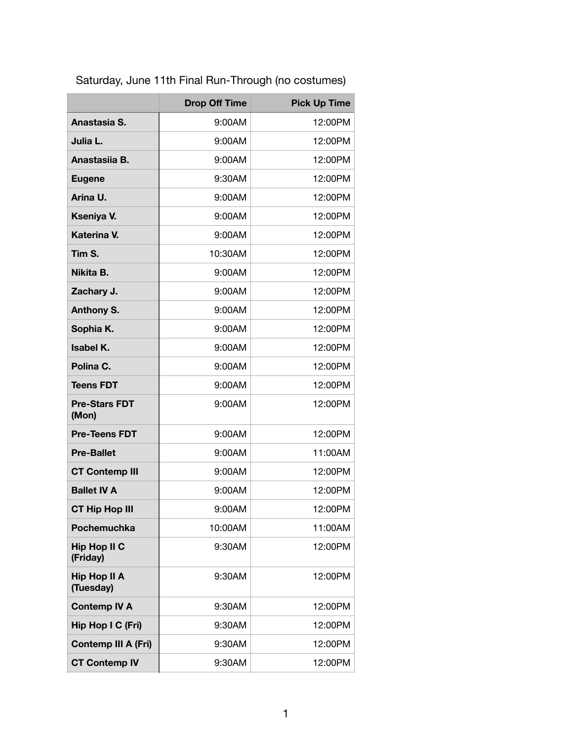|                                  | <b>Drop Off Time</b> | <b>Pick Up Time</b> |
|----------------------------------|----------------------|---------------------|
| Anastasia S.                     | 9:00AM               | 12:00PM             |
| Julia L.                         | 9:00AM               | 12:00PM             |
| Anastasiia B.                    | 9:00AM               | 12:00PM             |
| <b>Eugene</b>                    | 9:30AM               | 12:00PM             |
| Arina U.                         | 9:00AM               | 12:00PM             |
| Kseniya V.                       | 9:00AM               | 12:00PM             |
| <b>Katerina V.</b>               | 9:00AM               | 12:00PM             |
| Tim S.                           | 10:30AM              | 12:00PM             |
| Nikita B.                        | 9:00AM               | 12:00PM             |
| Zachary J.                       | 9:00AM               | 12:00PM             |
| <b>Anthony S.</b>                | 9:00AM               | 12:00PM             |
| Sophia K.                        | 9:00AM               | 12:00PM             |
| Isabel K.                        | 9:00AM               | 12:00PM             |
| Polina C.                        | 9:00AM               | 12:00PM             |
| <b>Teens FDT</b>                 | 9:00AM               | 12:00PM             |
| <b>Pre-Stars FDT</b><br>(Mon)    | 9:00AM               | 12:00PM             |
| <b>Pre-Teens FDT</b>             | 9:00AM               | 12:00PM             |
| <b>Pre-Ballet</b>                | 9:00AM               | 11:00AM             |
| <b>CT Contemp III</b>            | 9:00AM               | 12:00PM             |
| <b>Ballet IV A</b>               | 9:00AM               | 12:00PM             |
| <b>CT Hip Hop III</b>            | 9:00AM               | 12:00PM             |
| Pochemuchka                      | 10:00AM              | 11:00AM             |
| <b>Hip Hop II C</b><br>(Friday)  | 9:30AM               | 12:00PM             |
| <b>Hip Hop II A</b><br>(Tuesday) | 9:30AM               | 12:00PM             |
| <b>Contemp IV A</b>              | 9:30AM               | 12:00PM             |
| Hip Hop I C (Fri)                | 9:30AM               | 12:00PM             |
| <b>Contemp III A (Fri)</b>       | 9:30AM               | 12:00PM             |
| <b>CT Contemp IV</b>             | 9:30AM               | 12:00PM             |

Saturday, June 11th Final Run-Through (no costumes)